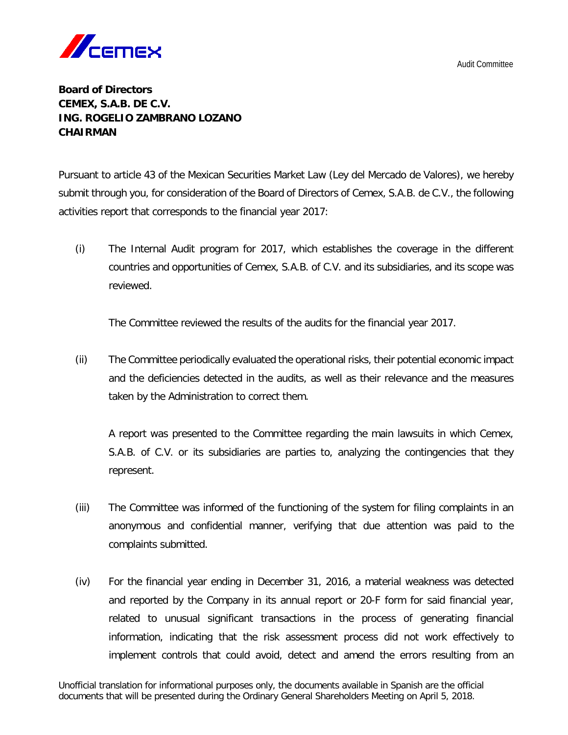

## **Board of Directors CEMEX, S.A.B. DE C.V. ING. ROGELIO ZAMBRANO LOZANO CHAIRMAN**

Pursuant to article 43 of the Mexican Securities Market Law (Ley del Mercado de Valores), we hereby submit through you, for consideration of the Board of Directors of Cemex, S.A.B. de C.V., the following activities report that corresponds to the financial year 2017:

(i) The Internal Audit program for 2017, which establishes the coverage in the different countries and opportunities of Cemex, S.A.B. of C.V. and its subsidiaries, and its scope was reviewed.

The Committee reviewed the results of the audits for the financial year 2017.

(ii) The Committee periodically evaluated the operational risks, their potential economic impact and the deficiencies detected in the audits, as well as their relevance and the measures taken by the Administration to correct them.

A report was presented to the Committee regarding the main lawsuits in which Cemex, S.A.B. of C.V. or its subsidiaries are parties to, analyzing the contingencies that they represent.

- (iii) The Committee was informed of the functioning of the system for filing complaints in an anonymous and confidential manner, verifying that due attention was paid to the complaints submitted.
- (iv) For the financial year ending in December 31, 2016, a material weakness was detected and reported by the Company in its annual report or 20-F form for said financial year, related to unusual significant transactions in the process of generating financial information, indicating that the risk assessment process did not work effectively to implement controls that could avoid, detect and amend the errors resulting from an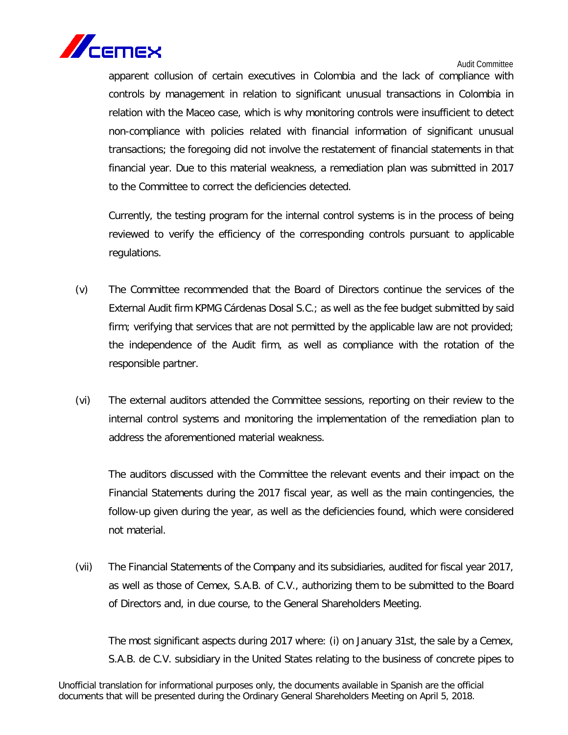

apparent collusion of certain executives in Colombia and the lack of compliance with controls by management in relation to significant unusual transactions in Colombia in relation with the Maceo case, which is why monitoring controls were insufficient to detect non-compliance with policies related with financial information of significant unusual transactions; the foregoing did not involve the restatement of financial statements in that financial year. Due to this material weakness, a remediation plan was submitted in 2017 to the Committee to correct the deficiencies detected.

Currently, the testing program for the internal control systems is in the process of being reviewed to verify the efficiency of the corresponding controls pursuant to applicable regulations.

- (v) The Committee recommended that the Board of Directors continue the services of the External Audit firm KPMG Cárdenas Dosal S.C.; as well as the fee budget submitted by said firm; verifying that services that are not permitted by the applicable law are not provided; the independence of the Audit firm, as well as compliance with the rotation of the responsible partner.
- (vi) The external auditors attended the Committee sessions, reporting on their review to the internal control systems and monitoring the implementation of the remediation plan to address the aforementioned material weakness.

The auditors discussed with the Committee the relevant events and their impact on the Financial Statements during the 2017 fiscal year, as well as the main contingencies, the follow-up given during the year, as well as the deficiencies found, which were considered not material.

(vii) The Financial Statements of the Company and its subsidiaries, audited for fiscal year 2017, as well as those of Cemex, S.A.B. of C.V., authorizing them to be submitted to the Board of Directors and, in due course, to the General Shareholders Meeting.

The most significant aspects during 2017 where: (i) on January 31st, the sale by a Cemex, S.A.B. de C.V. subsidiary in the United States relating to the business of concrete pipes to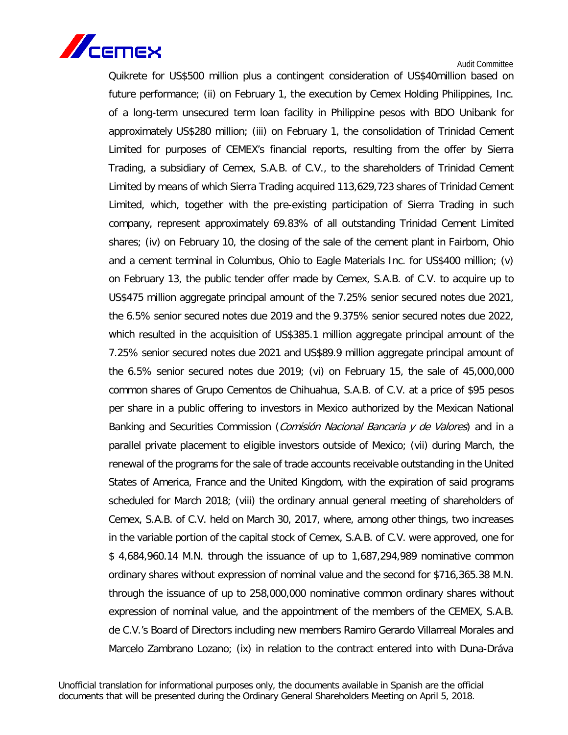

Quikrete for US\$500 million plus a contingent consideration of US\$40million based on future performance; (ii) on February 1, the execution by Cemex Holding Philippines, Inc. of a long-term unsecured term loan facility in Philippine pesos with BDO Unibank for approximately US\$280 million; (iii) on February 1, the consolidation of Trinidad Cement Limited for purposes of CEMEX's financial reports, resulting from the offer by Sierra Trading, a subsidiary of Cemex, S.A.B. of C.V., to the shareholders of Trinidad Cement Limited by means of which Sierra Trading acquired 113,629,723 shares of Trinidad Cement Limited, which, together with the pre-existing participation of Sierra Trading in such company, represent approximately 69.83% of all outstanding Trinidad Cement Limited shares; (iv) on February 10, the closing of the sale of the cement plant in Fairborn, Ohio and a cement terminal in Columbus, Ohio to Eagle Materials Inc. for US\$400 million; (v) on February 13, the public tender offer made by Cemex, S.A.B. of C.V. to acquire up to US\$475 million aggregate principal amount of the 7.25% senior secured notes due 2021, the 6.5% senior secured notes due 2019 and the 9.375% senior secured notes due 2022, which resulted in the acquisition of US\$385.1 million aggregate principal amount of the 7.25% senior secured notes due 2021 and US\$89.9 million aggregate principal amount of the 6.5% senior secured notes due 2019; (vi) on February 15, the sale of 45,000,000 common shares of Grupo Cementos de Chihuahua, S.A.B. of C.V. at a price of \$95 pesos per share in a public offering to investors in Mexico authorized by the Mexican National Banking and Securities Commission (*Comisión Nacional Bancaria y de Valores*) and in a parallel private placement to eligible investors outside of Mexico; (vii) during March, the renewal of the programs for the sale of trade accounts receivable outstanding in the United States of America, France and the United Kingdom, with the expiration of said programs scheduled for March 2018; (viii) the ordinary annual general meeting of shareholders of Cemex, S.A.B. of C.V. held on March 30, 2017, where, among other things, two increases in the variable portion of the capital stock of Cemex, S.A.B. of C.V. were approved, one for \$ 4,684,960.14 M.N. through the issuance of up to 1,687,294,989 nominative common ordinary shares without expression of nominal value and the second for \$716,365.38 M.N. through the issuance of up to 258,000,000 nominative common ordinary shares without expression of nominal value, and the appointment of the members of the CEMEX, S.A.B. de C.V.'s Board of Directors including new members Ramiro Gerardo Villarreal Morales and Marcelo Zambrano Lozano; (ix) in relation to the contract entered into with Duna-Dráva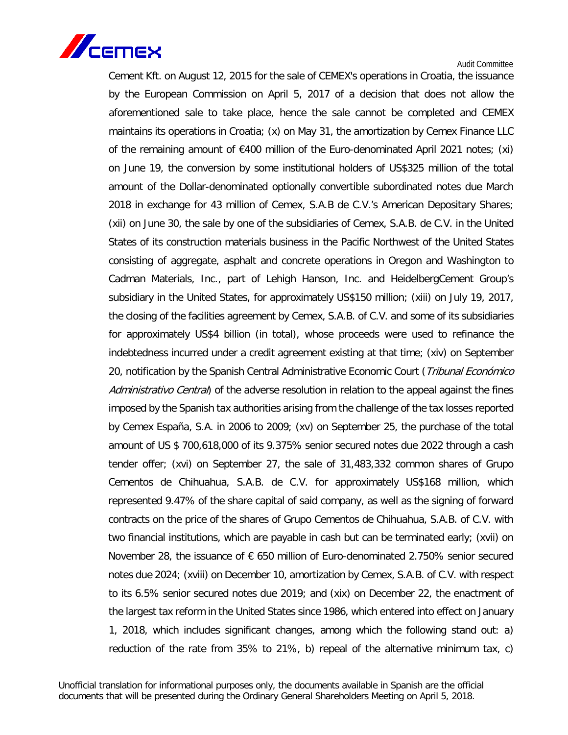

Cement Kft. on August 12, 2015 for the sale of CEMEX's operations in Croatia, the issuance by the European Commission on April 5, 2017 of a decision that does not allow the aforementioned sale to take place, hence the sale cannot be completed and CEMEX maintains its operations in Croatia; (x) on May 31, the amortization by Cemex Finance LLC of the remaining amount of  $\epsilon$ 400 million of the Euro-denominated April 2021 notes; (xi) on June 19, the conversion by some institutional holders of US\$325 million of the total amount of the Dollar-denominated optionally convertible subordinated notes due March 2018 in exchange for 43 million of Cemex, S.A.B de C.V.'s American Depositary Shares; (xii) on June 30, the sale by one of the subsidiaries of Cemex, S.A.B. de C.V. in the United States of its construction materials business in the Pacific Northwest of the United States consisting of aggregate, asphalt and concrete operations in Oregon and Washington to Cadman Materials, Inc., part of Lehigh Hanson, Inc. and HeidelbergCement Group's subsidiary in the United States, for approximately US\$150 million; (xiii) on July 19, 2017, the closing of the facilities agreement by Cemex, S.A.B. of C.V. and some of its subsidiaries for approximately US\$4 billion (in total), whose proceeds were used to refinance the indebtedness incurred under a credit agreement existing at that time; (xiv) on September 20, notification by the Spanish Central Administrative Economic Court (Tribunal Económico Administrativo Central) of the adverse resolution in relation to the appeal against the fines imposed by the Spanish tax authorities arising from the challenge of the tax losses reported by Cemex España, S.A. in 2006 to 2009; (xv) on September 25, the purchase of the total amount of US \$ 700,618,000 of its 9.375% senior secured notes due 2022 through a cash tender offer; (xvi) on September 27, the sale of 31,483,332 common shares of Grupo Cementos de Chihuahua, S.A.B. de C.V. for approximately US\$168 million, which represented 9.47% of the share capital of said company, as well as the signing of forward contracts on the price of the shares of Grupo Cementos de Chihuahua, S.A.B. of C.V. with two financial institutions, which are payable in cash but can be terminated early; (xvii) on November 28, the issuance of  $\epsilon$  650 million of Euro-denominated 2.750% senior secured notes due 2024; (xviii) on December 10, amortization by Cemex, S.A.B. of C.V. with respect to its 6.5% senior secured notes due 2019; and (xix) on December 22, the enactment of the largest tax reform in the United States since 1986, which entered into effect on January 1, 2018, which includes significant changes, among which the following stand out: a) reduction of the rate from 35% to 21%, b) repeal of the alternative minimum tax, c)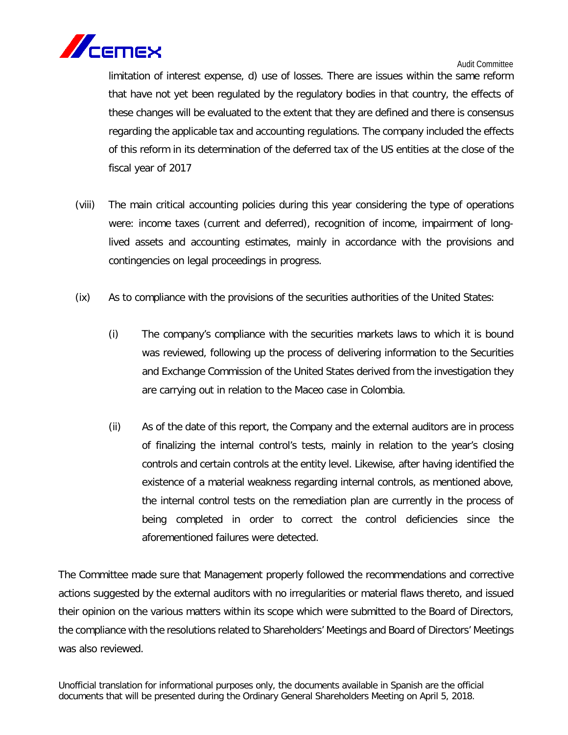

limitation of interest expense, d) use of losses. There are issues within the same reform that have not yet been regulated by the regulatory bodies in that country, the effects of these changes will be evaluated to the extent that they are defined and there is consensus regarding the applicable tax and accounting regulations. The company included the effects of this reform in its determination of the deferred tax of the US entities at the close of the fiscal year of 2017

- (viii) The main critical accounting policies during this year considering the type of operations were: income taxes (current and deferred), recognition of income, impairment of longlived assets and accounting estimates, mainly in accordance with the provisions and contingencies on legal proceedings in progress.
- (ix) As to compliance with the provisions of the securities authorities of the United States:
	- (i) The company's compliance with the securities markets laws to which it is bound was reviewed, following up the process of delivering information to the Securities and Exchange Commission of the United States derived from the investigation they are carrying out in relation to the Maceo case in Colombia.
	- (ii) As of the date of this report, the Company and the external auditors are in process of finalizing the internal control's tests, mainly in relation to the year's closing controls and certain controls at the entity level. Likewise, after having identified the existence of a material weakness regarding internal controls, as mentioned above, the internal control tests on the remediation plan are currently in the process of being completed in order to correct the control deficiencies since the aforementioned failures were detected.

The Committee made sure that Management properly followed the recommendations and corrective actions suggested by the external auditors with no irregularities or material flaws thereto, and issued their opinion on the various matters within its scope which were submitted to the Board of Directors, the compliance with the resolutions related to Shareholders' Meetings and Board of Directors' Meetings was also reviewed.